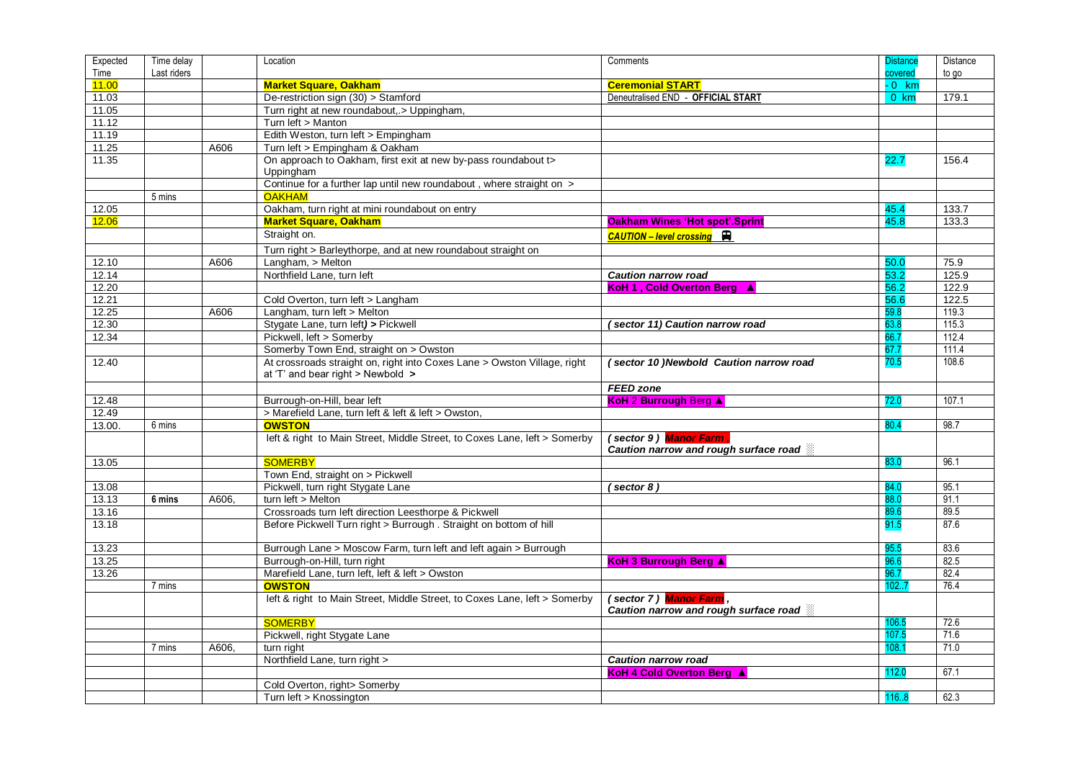| Expected       | Time delay  |       | Location                                                                                                          | Comments                                                        | <b>Distance</b> | <b>Distance</b> |
|----------------|-------------|-------|-------------------------------------------------------------------------------------------------------------------|-----------------------------------------------------------------|-----------------|-----------------|
| Time           | Last riders |       |                                                                                                                   |                                                                 | covered         | to go           |
| 11.00          |             |       | <b>Market Square, Oakham</b>                                                                                      | <b>Ceremonial START</b>                                         | $-0$ km         |                 |
| 11.03          |             |       | De-restriction sign (30) > Stamford                                                                               | Deneutralised END - OFFICIAL START                              | 0 km            | 179.1           |
| 11.05          |             |       | Turn right at new roundabout> Uppingham,                                                                          |                                                                 |                 |                 |
| 11.12          |             |       | Turn left > Manton                                                                                                |                                                                 |                 |                 |
| 11.19          |             |       | Edith Weston, turn left > Empingham                                                                               |                                                                 |                 |                 |
| 11.25<br>11.35 |             | A606  | Turn left > Empingham & Oakham<br>On approach to Oakham, first exit at new by-pass roundabout t>                  |                                                                 |                 | 156.4           |
|                |             |       | Uppingham                                                                                                         |                                                                 | 22.7            |                 |
|                |             |       | Continue for a further lap until new roundabout, where straight on >                                              |                                                                 |                 |                 |
|                | 5 mins      |       | <b>OAKHAM</b>                                                                                                     |                                                                 |                 |                 |
| 12.05          |             |       | Oakham, turn right at mini roundabout on entry                                                                    |                                                                 | 45.4            | 133.7           |
| 12.06          |             |       | <b>Market Square, Oakham</b>                                                                                      | <b>Oakham Wines 'Hot spot'.Sprint</b>                           | 45.8            | 133.3           |
|                |             |       | Straight on.                                                                                                      |                                                                 |                 |                 |
|                |             |       |                                                                                                                   | $CAUTION$ - level crossing $\blacksquare$                       |                 |                 |
|                |             |       | Turn right > Barleythorpe, and at new roundabout straight on                                                      |                                                                 |                 |                 |
| 12.10          |             | A606  | Langham, > Melton                                                                                                 |                                                                 | 50.0            | 75.9            |
| 12.14          |             |       | Northfield Lane, turn left                                                                                        | <b>Caution narrow road</b>                                      | 53.2            | 125.9           |
| 12.20          |             |       |                                                                                                                   | KoH 1, Cold Overton Berg                                        | 56.2            | 122.9           |
| 12.21          |             |       | Cold Overton, turn left > Langham                                                                                 |                                                                 | 56.6            | 122.5           |
| 12.25          |             | A606  | Langham, turn left > Melton                                                                                       |                                                                 | 59.8            | 119.3           |
| 12.30          |             |       | Stygate Lane, turn left) > Pickwell                                                                               | (sector 11) Caution narrow road                                 | 63.8            | 115.3           |
| 12.34          |             |       | Pickwell, left > Somerby                                                                                          |                                                                 | 66.7            | 112.4           |
|                |             |       | Somerby Town End, straight on > Owston                                                                            |                                                                 | 67.7            | 111.4           |
| 12.40          |             |       | At crossroads straight on, right into Coxes Lane > Owston Village, right<br>at 'T' and bear right $>$ Newbold $>$ | (sector 10) Newbold Caution narrow road                         | 70.5            | 108.6           |
|                |             |       |                                                                                                                   | <b>FEED zone</b>                                                |                 |                 |
| 12.48          |             |       | Burrough-on-Hill, bear left                                                                                       | KoH 2 Burrough Berg ▲                                           | 72.0            | 107.1           |
| 12.49          |             |       | > Marefield Lane, turn left & left & left > Owston,                                                               |                                                                 |                 |                 |
| 13.00.         | 6 mins      |       | <b>OWSTON</b>                                                                                                     |                                                                 | 80.4            | 98.7            |
|                |             |       | left & right to Main Street, Middle Street, to Coxes Lane, left > Somerby                                         | (sector 9) Manor Farm,<br>Caution narrow and rough surface road |                 |                 |
| 13.05          |             |       | <b>SOMERBY</b>                                                                                                    |                                                                 | 83.0            | 96.1            |
|                |             |       | Town End, straight on > Pickwell                                                                                  |                                                                 |                 |                 |
| 13.08          |             |       | Pickwell, turn right Stygate Lane                                                                                 | ( sector 8)                                                     | 84.0            | 95.1            |
| 13.13          | 6 mins      | A606. | turn $left >$ Melton                                                                                              |                                                                 | 88.0            | 91.1            |
| 13.16          |             |       | Crossroads turn left direction Leesthorpe & Pickwell                                                              |                                                                 | 89.6            | 89.5            |
| 13.18          |             |       | Before Pickwell Turn right > Burrough . Straight on bottom of hill                                                |                                                                 | 91.5            | 87.6            |
| 13.23          |             |       | Burrough Lane > Moscow Farm, turn left and left again > Burrough                                                  |                                                                 | 95.5            | 83.6            |
| 13.25          |             |       | Burrough-on-Hill, turn right                                                                                      | KoH 3 Burrough Berg ▲                                           | 96.6            | 82.5            |
| 13.26          |             |       | Marefield Lane, turn left, left & left > Owston                                                                   |                                                                 | 96.7            | 82.4            |
|                | 7 mins      |       | <b>OWSTON</b>                                                                                                     |                                                                 | 102.            | 76.4            |
|                |             |       | left & right to Main Street, Middle Street, to Coxes Lane, left > Somerby                                         | (sector 7) Manor Farm,<br>Caution narrow and rough surface road |                 |                 |
|                |             |       | <b>SOMERBY</b>                                                                                                    |                                                                 | 106.5           | 72.6            |
|                |             |       | Pickwell, right Stygate Lane                                                                                      |                                                                 | 107.5           | 71.6            |
|                | 7 mins      | A606. | turn right                                                                                                        |                                                                 | 108.            | 71.0            |
|                |             |       | Northfield Lane, turn right >                                                                                     | <b>Caution narrow road</b>                                      |                 |                 |
|                |             |       |                                                                                                                   | KoH 4 Cold Overton Berg ▲                                       | 112.0           | 67.1            |
|                |             |       | Cold Overton, right> Somerby                                                                                      |                                                                 |                 |                 |
|                |             |       | Turn left > Knossington                                                                                           |                                                                 | 116.8           | 62.3            |